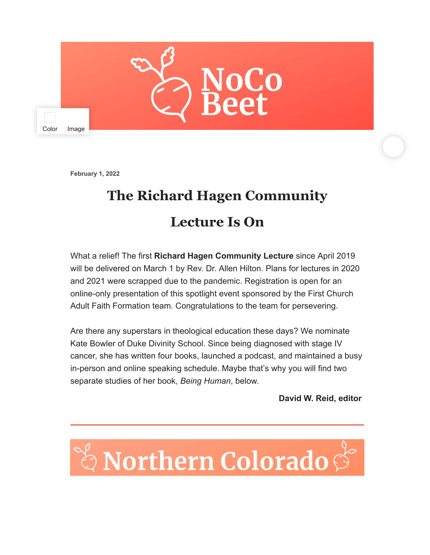

**February 1, 2022**

## **The Richard Hagen Community Lecture Is On**

What a relief! The first **Richard Hagen Community Lecture** since April 2019 will be delivered on March 1 by Rev. Dr. Allen Hilton. Plans for lectures in 2020 and 2021 were scrapped due to the pandemic. Registration is open for an online-only presentation of this spotlight event sponsored by the First Church Adult Faith Formation team. Congratulations to the team for persevering.

Are there any superstars in theological education these days? We nominate Kate Bowler of Duke Divinity School. Since being diagnosed with stage IV cancer, she has written four books, launched a podcast, and maintained a busy in-person and online speaking schedule. Maybe that's why you will find two separate studies of her book, *Being Human*, below.

**David W. Reid, editor**

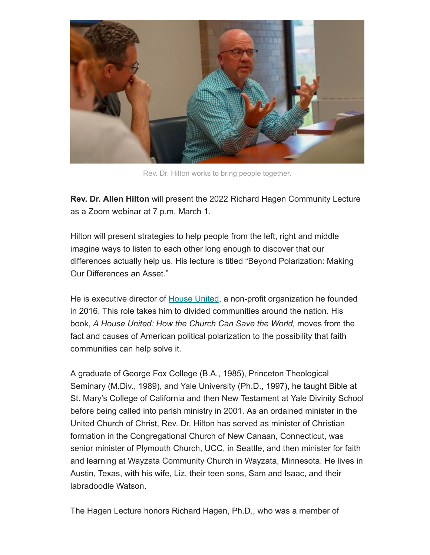

Rev. Dr. Hilton works to bring people together.

**Rev. Dr. Allen Hilton** will present the 2022 Richard Hagen Community Lecture as a Zoom webinar at 7 p.m. March 1.

Hilton will present strategies to help people from the left, right and middle imagine ways to listen to each other long enough to discover that our differences actually help us. His lecture is titled "Beyond Polarization: Making Our Differences an Asset."

He is executive director of [House United](https://www.houseunitedmovement.org/), a non-profit organization he founded in 2016. This role takes him to divided communities around the nation. His book, *A House United: How the Church Can Save the World,* moves from the fact and causes of American political polarization to the possibility that faith communities can help solve it.

A graduate of George Fox College (B.A., 1985), Princeton Theological Seminary (M.Div., 1989), and Yale University (Ph.D., 1997), he taught Bible at St. Mary's College of California and then New Testament at Yale Divinity School before being called into parish ministry in 2001. As an ordained minister in the United Church of Christ, Rev. Dr. Hilton has served as minister of Christian formation in the Congregational Church of New Canaan, Connecticut, was senior minister of Plymouth Church, UCC, in Seattle, and then minister for faith and learning at Wayzata Community Church in Wayzata, Minnesota. He lives in Austin, Texas, with his wife, Liz, their teen sons, Sam and Isaac, and their labradoodle Watson.

The Hagen Lecture honors Richard Hagen, Ph.D., who was a member of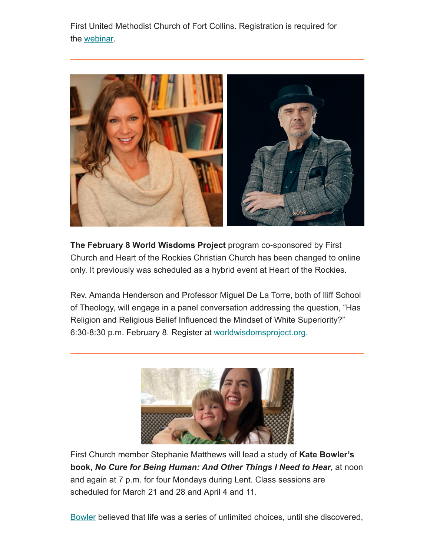First United Methodist Church of Fort Collins. Registration is required for the [webinar.](https://us02web.zoom.us/webinar/register/WN_Rd1T-7v3QX65O_3cdXhAjA)



**The February 8 World Wisdoms Project** program co-sponsored by First Church and Heart of the Rockies Christian Church has been changed to online only. It previously was scheduled as a hybrid event at Heart of the Rockies.

Rev. Amanda Henderson and Professor Miguel De La Torre, both of Iliff School of Theology, will engage in a panel conversation addressing the question, "Has Religion and Religious Belief Influenced the Mindset of White Superiority?" 6:30-8:30 p.m. February 8. Register at [worldwisdomsproject.org.](https://www.worldwisdomsproject.org/event/listening-white-superiority/)



First Church member Stephanie Matthews will lead a study of **Kate Bowler's book,** *No Cure for Being Human: And Other Things I Need to Hear,* at noon and again at 7 p.m. for four Mondays during Lent. Class sessions are scheduled for March 21 and 28 and April 4 and 11.

[Bowler](https://katebowler.com/) believed that life was a series of unlimited choices, until she discovered,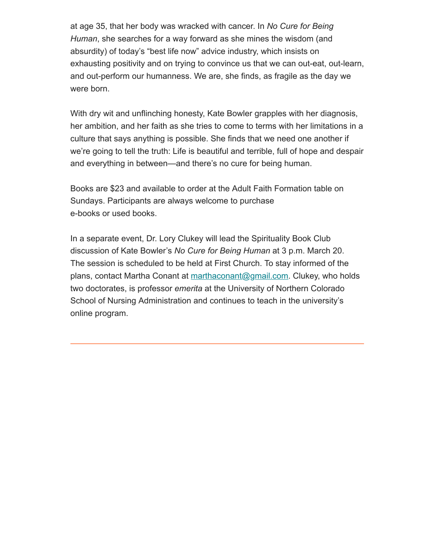at age 35, that her body was wracked with cancer. In *No Cure for Being Human*, she searches for a way forward as she mines the wisdom (and absurdity) of today's "best life now" advice industry, which insists on exhausting positivity and on trying to convince us that we can out-eat, out-learn, and out-perform our humanness. We are, she finds, as fragile as the day we were born.

With dry wit and unflinching honesty, Kate Bowler grapples with her diagnosis, her ambition, and her faith as she tries to come to terms with her limitations in a culture that says anything is possible. She finds that we need one another if we're going to tell the truth: Life is beautiful and terrible, full of hope and despair and everything in between—and there's no cure for being human.

Books are \$23 and available to order at the Adult Faith Formation table on Sundays. Participants are always welcome to purchase e-books or used books.

In a separate event, Dr. Lory Clukey will lead the Spirituality Book Club discussion of Kate Bowler's *No Cure for Being Human* at 3 p.m. March 20. The session is scheduled to be held at First Church. To stay informed of the plans, contact Martha Conant at [marthaconant@gmail.com](mailto:marthaconant@gmail.com). Clukey, who holds two doctorates, is professor *emerita* at the University of Northern Colorado School of Nursing Administration and continues to teach in the university's online program.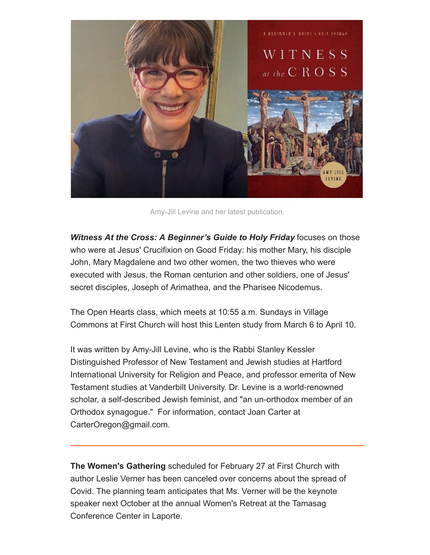

Amy-Jill Levine and her latest publication.

*Witness At the Cross: A Beginner's Guide to Holy Friday* focuses on those who were at Jesus' Crucifixion on Good Friday: his mother Mary, his disciple John, Mary Magdalene and two other women, the two thieves who were executed with Jesus, the Roman centurion and other soldiers, one of Jesus' secret disciples, Joseph of Arimathea, and the Pharisee Nicodemus.

The Open Hearts class, which meets at 10:55 a.m. Sundays in Village Commons at First Church will host this Lenten study from March 6 to April 10.

It was written by Amy-Jill Levine, who is the Rabbi Stanley Kessler Distinguished Professor of New Testament and Jewish studies at Hartford International University for Religion and Peace, and professor emerita of New Testament studies at Vanderbilt University. Dr. Levine is a world-renowned scholar, a self-described Jewish feminist, and "an un-orthodox member of an Orthodox synagogue." For information, contact Joan Carter at CarterOregon@gmail.com.

**The Women's Gathering** scheduled for February 27 at First Church with author Leslie Verner has been canceled over concerns about the spread of Covid. The planning team anticipates that Ms. Verner will be the keynote speaker next October at the annual Women's Retreat at the Tamasag Conference Center in Laporte.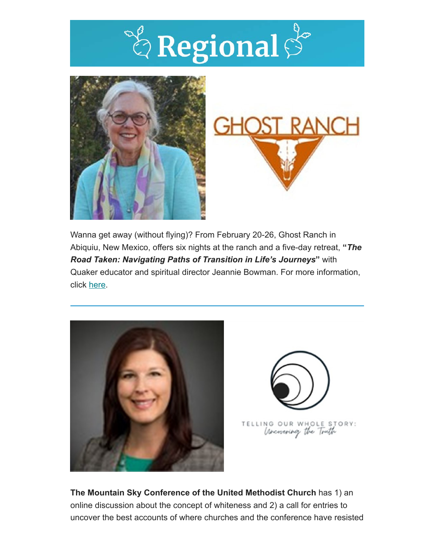





Wanna get away (without flying)? From February 20-26, Ghost Ranch in Abiquiu, New Mexico, offers six nights at the ranch and a five-day retreat, **"***The Road Taken: Navigating Paths of Transition in Life's Journeys***"** with Quaker educator and spiritual director Jeannie Bowman. For more information, click [here.](https://www.ghostranch.org/events/the-road-taken-navigating-paths-of-transition-in-lifes-journeys-g220243/)





**The Mountain Sky Conference of the United Methodist Church** has 1) an online discussion about the concept of whiteness and 2) a call for entries to uncover the best accounts of where churches and the conference have resisted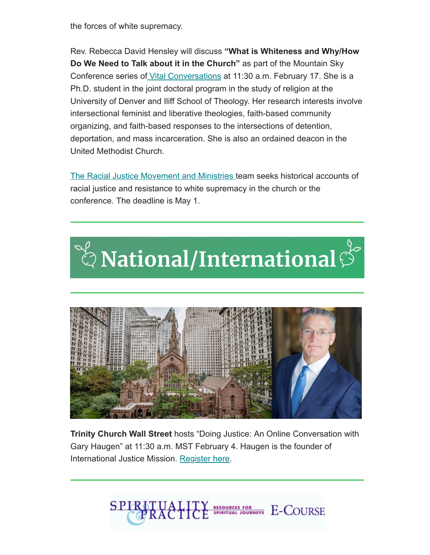the forces of white supremacy.

Rev. Rebecca David Hensley will discuss **"What is Whiteness and Why/How Do We Need to Talk about it in the Church"** as part of the Mountain Sky Conference series of [Vital Conversations](https://www.mtnskyumc.org/newsdetail/vital-conversations-what-is-whiteness-and-why-how-we-need-to-talk-about-it-in-church-15859075) at 11:30 a.m. February 17. She is a Ph.D. student in the joint doctoral program in the study of religion at the University of Denver and Iliff School of Theology. Her research interests involve intersectional feminist and liberative theologies, faith-based community organizing, and faith-based responses to the intersections of detention, deportation, and mass incarceration. She is also an ordained deacon in the United Methodist Church.

[The Racial Justice Movement and Ministries](https://www.mtnskyumc.org/newsdetail/15816148) team seeks historical accounts of racial justice and resistance to white supremacy in the church or the conference. The deadline is May 1.





**Trinity Church Wall Street** hosts "Doing Justice: An Online Conversation with Gary Haugen" at 11:30 a.m. MST February 4. Haugen is the founder of International Justice Mission. [Register here](https://www.ttf.org/online-conversation/gary-haugen/).

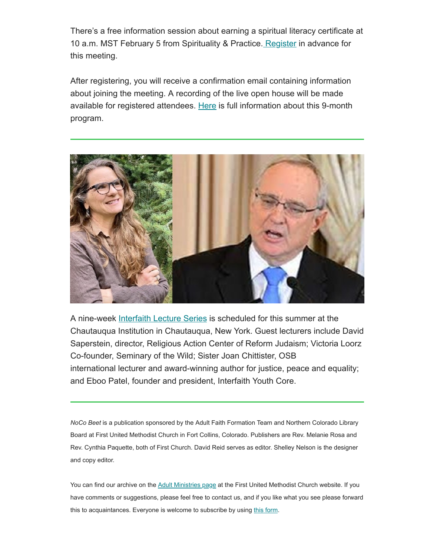There's a free information session about earning a spiritual literacy certificate at 10 a.m. MST February 5 from Spirituality & Practice. [Register](https://us02web.zoom.us/meeting/register/tZYqf-iorz0rE9FheyjhHhDoOkRJ9il4p7rU%C2%A0) in advance for this meeting.

After registering, you will receive a confirmation email containing information about joining the meeting. A recording of the live open house will be made available for registered attendees. [Here](https://www.spiritualityandpractice.com/Certificates) is full information about this 9-month program.



A nine-week [Interfaith Lecture Series](https://chq.org/schedule/lectures/interfaith-lecture-series/) is scheduled for this summer at the Chautauqua Institution in Chautauqua, New York. Guest lecturers include David Saperstein, director, Religious Action Center of Reform Judaism; Victoria Loorz Co-founder, Seminary of the Wild; Sister Joan Chittister, OSB international lecturer and award-winning author for justice, peace and equality; and Eboo Patel, founder and president, Interfaith Youth Core.

*NoCo Beet* is a publication sponsored by the Adult Faith Formation Team and Northern Colorado Library Board at First United Methodist Church in Fort Collins, Colorado. Publishers are Rev. Melanie Rosa and Rev. Cynthia Paquette, both of First Church. David Reid serves as editor. Shelley Nelson is the designer and copy editor.

You can find our archive on the [Adult Ministries page](https://fcfumc.net/ministry/adults) at the First United Methodist Church website. If you have comments or suggestions, please feel free to contact us, and if you like what you see please forward this to acquaintances. Everyone is welcome to subscribe by using [this form.](https://fcfumc.us6.list-manage.com/subscribe?u=62b328003f77e406a68fd17d4&id=75d7d93d6c)